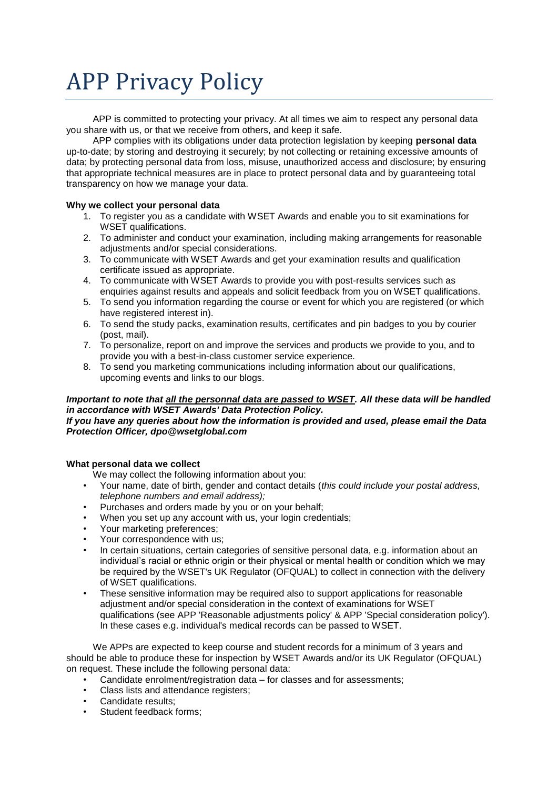# APP Privacy Policy

APP is committed to protecting your privacy. At all times we aim to respect any personal data you share with us, or that we receive from others, and keep it safe.

APP complies with its obligations under data protection legislation by keeping **personal data**  up-to-date; by storing and destroying it securely; by not collecting or retaining excessive amounts of data; by protecting personal data from loss, misuse, unauthorized access and disclosure; by ensuring that appropriate technical measures are in place to protect personal data and by guaranteeing total transparency on how we manage your data.

## **Why we collect your personal data**

- 1. To register you as a candidate with WSET Awards and enable you to sit examinations for WSET qualifications.
- 2. To administer and conduct your examination, including making arrangements for reasonable adjustments and/or special considerations.
- 3. To communicate with WSET Awards and get your examination results and qualification certificate issued as appropriate.
- 4. To communicate with WSET Awards to provide you with post-results services such as enquiries against results and appeals and solicit feedback from you on WSET qualifications.
- 5. To send you information regarding the course or event for which you are registered (or which have registered interest in).
- 6. To send the study packs, examination results, certificates and pin badges to you by courier (post, mail).
- 7. To personalize, report on and improve the services and products we provide to you, and to provide you with a best-in-class customer service experience.
- 8. To send you marketing communications including information about our qualifications, upcoming events and links to our blogs.

## *Important to note that all the personnal data are passed to WSET. All these data will be handled in accordance with WSET Awards' Data Protection Policy.*

## *If you have any queries about how the information is provided and used, please email the Data Protection Officer, dpo@wsetglobal.com*

## **What personal data we collect**

We may collect the following information about you:

- Your name, date of birth, gender and contact details (*this could include your postal address, telephone numbers and email address);*
- Purchases and orders made by you or on your behalf;
- When you set up any account with us, your login credentials;
- Your marketing preferences;
- Your correspondence with us:
- In certain situations, certain categories of sensitive personal data, e.g. information about an individual's racial or ethnic origin or their physical or mental health or condition which we may be required by the WSET's UK Regulator (OFQUAL) to collect in connection with the delivery of WSET qualifications.
- These sensitive information may be required also to support applications for reasonable adjustment and/or special consideration in the context of examinations for WSET qualifications (see APP 'Reasonable adjustments policy' & APP 'Special consideration policy'). In these cases e.g. individual's medical records can be passed to WSET.

We APPs are expected to keep course and student records for a minimum of 3 years and should be able to produce these for inspection by WSET Awards and/or its UK Regulator (OFQUAL) on request. These include the following personal data:

- Candidate enrolment/registration data for classes and for assessments;
- Class lists and attendance registers;
- Candidate results;
- Student feedback forms;